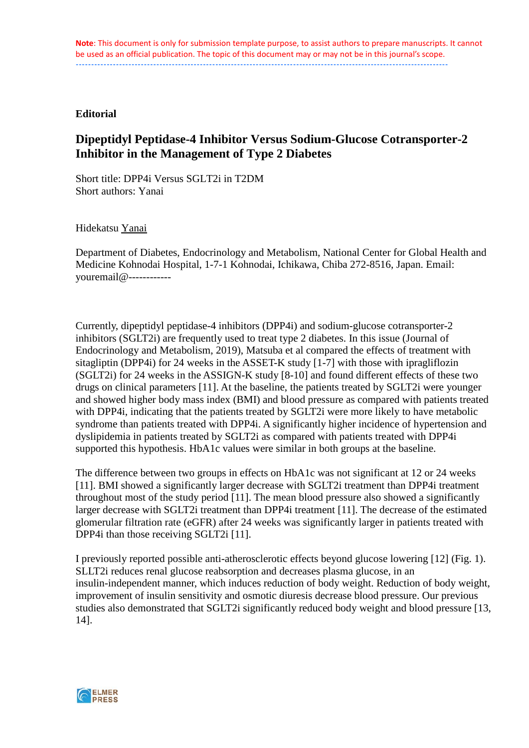#### **Editorial**

# **Dipeptidyl Peptidase-4 Inhibitor Versus Sodium-Glucose Cotransporter-2 Inhibitor in the Management of Type 2 Diabetes**

Short title: DPP4i Versus SGLT2i in T2DM Short authors: Yanai

Hidekatsu Yanai

Department of Diabetes, Endocrinology and Metabolism, National Center for Global Health and Medicine Kohnodai Hospital, 1-7-1 Kohnodai, Ichikawa, Chiba 272-8516, Japan. Email: youremail@------------

Currently, dipeptidyl peptidase-4 inhibitors (DPP4i) and sodium-glucose cotransporter-2 inhibitors (SGLT2i) are frequently used to treat type 2 diabetes. In this issue (Journal of Endocrinology and Metabolism, 2019), Matsuba et al compared the effects of treatment with sitagliptin (DPP4i) for 24 weeks in the ASSET-K study [1-7] with those with ipragliflozin (SGLT2i) for 24 weeks in the ASSIGN-K study [8-10] and found different effects of these two drugs on clinical parameters [11]. At the baseline, the patients treated by SGLT2i were younger and showed higher body mass index (BMI) and blood pressure as compared with patients treated with DPP4i, indicating that the patients treated by SGLT2i were more likely to have metabolic syndrome than patients treated with DPP4i. A significantly higher incidence of hypertension and dyslipidemia in patients treated by SGLT2i as compared with patients treated with DPP4i supported this hypothesis. HbA1c values were similar in both groups at the baseline.

The difference between two groups in effects on HbA1c was not significant at 12 or 24 weeks [11]. BMI showed a significantly larger decrease with SGLT2i treatment than DPP4i treatment throughout most of the study period [11]. The mean blood pressure also showed a significantly larger decrease with SGLT2i treatment than DPP4i treatment [11]. The decrease of the estimated glomerular filtration rate (eGFR) after 24 weeks was significantly larger in patients treated with DPP4i than those receiving SGLT2i [11].

I previously reported possible anti-atherosclerotic effects beyond glucose lowering [12] (Fig. 1). SLLT2i reduces renal glucose reabsorption and decreases plasma glucose, in an insulin-independent manner, which induces reduction of body weight. Reduction of body weight, improvement of insulin sensitivity and osmotic diuresis decrease blood pressure. Our previous studies also demonstrated that SGLT2i significantly reduced body weight and blood pressure [13, 14].

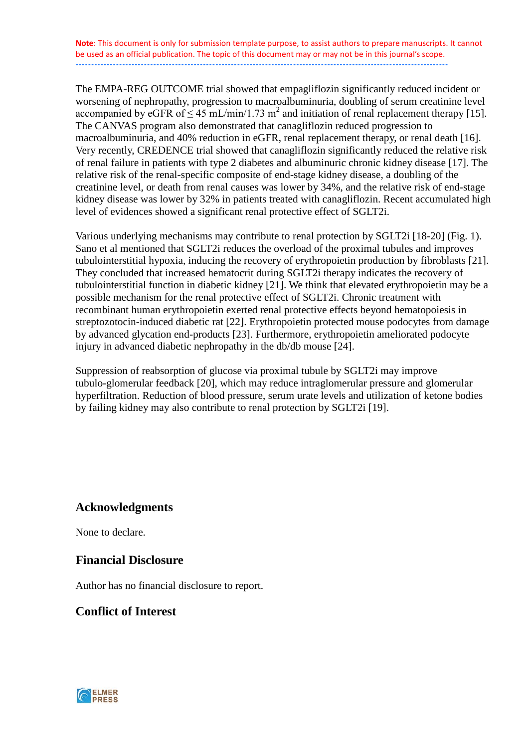The EMPA-REG OUTCOME trial showed that empagliflozin significantly reduced incident or worsening of nephropathy, progression to macroalbuminuria, doubling of serum creatinine level accompanied by eGFR of  $\leq 45$  mL/min/1.73 m<sup>2</sup> and initiation of renal replacement therapy [15]. The CANVAS program also demonstrated that canagliflozin reduced progression to macroalbuminuria, and 40% reduction in eGFR, renal replacement therapy, or renal death [16]. Very recently, CREDENCE trial showed that canagliflozin significantly reduced the relative risk of renal failure in patients with type 2 diabetes and albuminuric chronic kidney disease [17]. The relative risk of the renal-specific composite of end-stage kidney disease, a doubling of the creatinine level, or death from renal causes was lower by 34%, and the relative risk of end-stage kidney disease was lower by 32% in patients treated with canagliflozin. Recent accumulated high level of evidences showed a significant renal protective effect of SGLT2i.

Various underlying mechanisms may contribute to renal protection by SGLT2i [18-20] (Fig. 1). Sano et al mentioned that SGLT2i reduces the overload of the proximal tubules and improves tubulointerstitial hypoxia, inducing the recovery of erythropoietin production by fibroblasts [21]. They concluded that increased hematocrit during SGLT2i therapy indicates the recovery of tubulointerstitial function in diabetic kidney [21]. We think that elevated erythropoietin may be a possible mechanism for the renal protective effect of SGLT2i. Chronic treatment with recombinant human erythropoietin exerted renal protective effects beyond hematopoiesis in streptozotocin-induced diabetic rat [22]. Erythropoietin protected mouse podocytes from damage by advanced glycation end-products [23]. Furthermore, erythropoietin ameliorated podocyte injury in advanced diabetic nephropathy in the db/db mouse [24].

Suppression of reabsorption of glucose via proximal tubule by SGLT2i may improve tubulo-glomerular feedback [20], which may reduce intraglomerular pressure and glomerular hyperfiltration. Reduction of blood pressure, serum urate levels and utilization of ketone bodies by failing kidney may also contribute to renal protection by SGLT2i [19].

### **Acknowledgments**

None to declare.

### **Financial Disclosure**

Author has no financial disclosure to report.

### **Conflict of Interest**

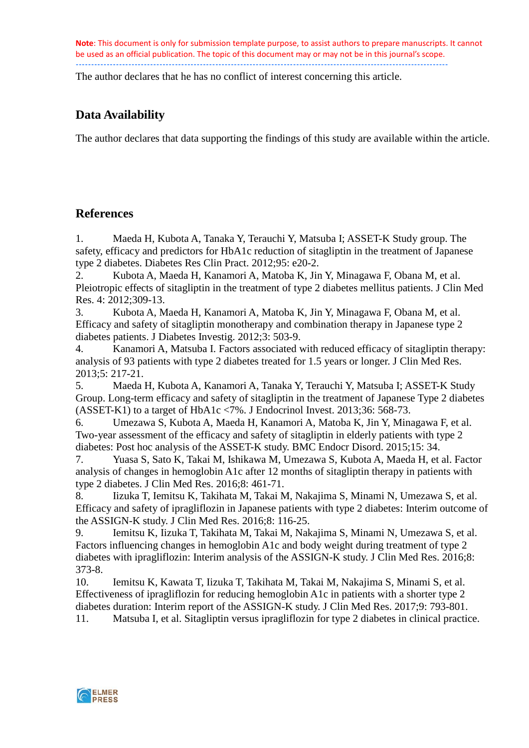The author declares that he has no conflict of interest concerning this article.

# **Data Availability**

The author declares that data supporting the findings of this study are available within the article.

## **References**

1. Maeda H, Kubota A, Tanaka Y, Terauchi Y, Matsuba I; ASSET-K Study group. The safety, efficacy and predictors for HbA1c reduction of sitagliptin in the treatment of Japanese type 2 diabetes. Diabetes Res Clin Pract. 2012;95: e20-2.

2. Kubota A, Maeda H, Kanamori A, Matoba K, Jin Y, Minagawa F, Obana M, et al. Pleiotropic effects of sitagliptin in the treatment of type 2 diabetes mellitus patients. J Clin Med Res. 4: 2012;309-13.

3. Kubota A, Maeda H, Kanamori A, Matoba K, Jin Y, Minagawa F, Obana M, et al. Efficacy and safety of sitagliptin monotherapy and combination therapy in Japanese type 2 diabetes patients. J Diabetes Investig. 2012;3: 503-9.

4. Kanamori A, Matsuba I. Factors associated with reduced efficacy of sitagliptin therapy: analysis of 93 patients with type 2 diabetes treated for 1.5 years or longer. J Clin Med Res. 2013;5: 217-21.<br>5. Maeda

5. Maeda H, Kubota A, Kanamori A, Tanaka Y, Terauchi Y, Matsuba I; ASSET-K Study Group. Long-term efficacy and safety of sitagliptin in the treatment of Japanese Type 2 diabetes (ASSET-K1) to a target of HbA1c <7%. J Endocrinol Invest. 2013;36: 568-73.

6. Umezawa S, Kubota A, Maeda H, Kanamori A, Matoba K, Jin Y, Minagawa F, et al. Two-year assessment of the efficacy and safety of sitagliptin in elderly patients with type 2 diabetes: Post hoc analysis of the ASSET-K study. BMC Endocr Disord. 2015;15: 34.

7. Yuasa S, Sato K, Takai M, Ishikawa M, Umezawa S, Kubota A, Maeda H, et al. Factor analysis of changes in hemoglobin A1c after 12 months of sitagliptin therapy in patients with type 2 diabetes. J Clin Med Res. 2016;8: 461-71.

8. Iizuka T, Iemitsu K, Takihata M, Takai M, Nakajima S, Minami N, Umezawa S, et al. Efficacy and safety of ipragliflozin in Japanese patients with type 2 diabetes: Interim outcome of the ASSIGN-K study. J Clin Med Res. 2016;8: 116-25.

9. Iemitsu K, Iizuka T, Takihata M, Takai M, Nakajima S, Minami N, Umezawa S, et al. Factors influencing changes in hemoglobin A1c and body weight during treatment of type 2 diabetes with ipragliflozin: Interim analysis of the ASSIGN-K study. J Clin Med Res. 2016;8: 373-8.

10. Iemitsu K, Kawata T, Iizuka T, Takihata M, Takai M, Nakajima S, Minami S, et al. Effectiveness of ipragliflozin for reducing hemoglobin A1c in patients with a shorter type 2 diabetes duration: Interim report of the ASSIGN-K study. J Clin Med Res. 2017;9: 793-801.

11. Matsuba I, et al. Sitagliptin versus ipragliflozin for type 2 diabetes in clinical practice.

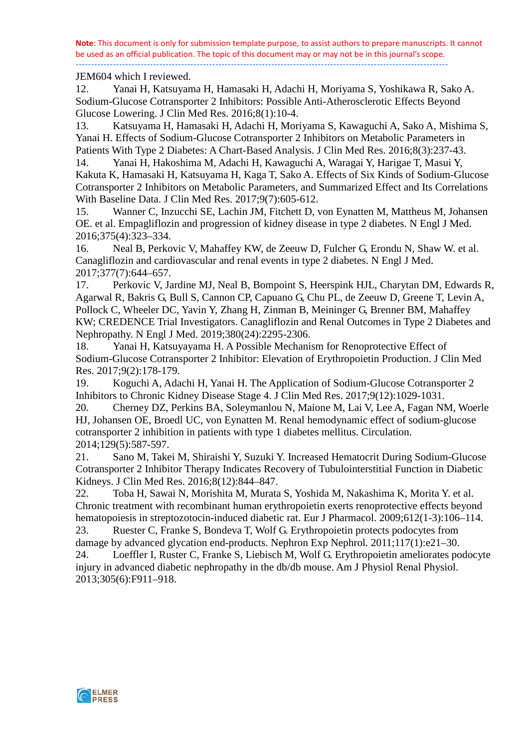#### JEM604 which I reviewed.

12. Yanai H, Katsuyama H, Hamasaki H, Adachi H, Moriyama S, Yoshikawa R, Sako A. Sodium-Glucose Cotransporter 2 Inhibitors: Possible Anti-Atherosclerotic Effects Beyond Glucose Lowering. J Clin Med Res. 2016;8(1):10-4.

13. Katsuyama H, Hamasaki H, Adachi H, Moriyama S, Kawaguchi A, Sako A, Mishima S, Yanai H. Effects of Sodium-Glucose Cotransporter 2 Inhibitors on Metabolic Parameters in Patients With Type 2 Diabetes: A Chart-Based Analysis. J Clin Med Res. 2016;8(3):237-43.

14. Yanai H, Hakoshima M, Adachi H, Kawaguchi A, Waragai Y, Harigae T, Masui Y, Kakuta K, Hamasaki H, Katsuyama H, Kaga T, Sako A. Effects of Six Kinds of Sodium-Glucose Cotransporter 2 Inhibitors on Metabolic Parameters, and Summarized Effect and Its Correlations With Baseline Data. J Clin Med Res. 2017;9(7):605-612.

15. Wanner C, Inzucchi SE, Lachin JM, Fitchett D, von Eynatten M, Mattheus M, Johansen OE. et al. Empagliflozin and progression of kidney disease in type 2 diabetes. N Engl J Med. 2016;375(4):323–334.

16. Neal B, Perkovic V, Mahaffey KW, de Zeeuw D, Fulcher G, Erondu N, Shaw W. et al. Canagliflozin and cardiovascular and renal events in type 2 diabetes. N Engl J Med. 2017;377(7):644–657.

17. Perkovic V, Jardine MJ, Neal B, Bompoint S, Heerspink HJL, Charytan DM, Edwards R, Agarwal R, Bakris G, Bull S, Cannon CP, Capuano G, Chu PL, de Zeeuw D, Greene T, Levin A, Pollock C, Wheeler DC, Yavin Y, Zhang H, Zinman B, Meininger G, Brenner BM, Mahaffey KW; CREDENCE Trial Investigators. Canagliflozin and Renal Outcomes in Type 2 Diabetes and Nephropathy. N Engl J Med. 2019;380(24):2295-2306.

18. Yanai H, Katsuyayama H. A Possible Mechanism for Renoprotective Effect of Sodium-Glucose Cotransporter 2 Inhibitor: Elevation of Erythropoietin Production. J Clin Med Res. 2017;9(2):178-179.

19. Koguchi A, Adachi H, Yanai H. The Application of Sodium-Glucose Cotransporter 2 Inhibitors to Chronic Kidney Disease Stage 4. J Clin Med Res. 2017;9(12):1029-1031.

20. Cherney DZ, Perkins BA, Soleymanlou N, Maione M, Lai V, Lee A, Fagan NM, Woerle HJ, Johansen OE, Broedl UC, von Eynatten M. Renal hemodynamic effect of sodium-glucose cotransporter 2 inhibition in patients with type 1 diabetes mellitus. Circulation. 2014;129(5):587-597.

21. Sano M, Takei M, Shiraishi Y, Suzuki Y. Increased Hematocrit During Sodium-Glucose Cotransporter 2 Inhibitor Therapy Indicates Recovery of Tubulointerstitial Function in Diabetic Kidneys. J Clin Med Res. 2016;8(12):844–847.

22. Toba H, Sawai N, Morishita M, Murata S, Yoshida M, Nakashima K, Morita Y. et al. Chronic treatment with recombinant human erythropoietin exerts renoprotective effects beyond hematopoiesis in streptozotocin-induced diabetic rat. Eur J Pharmacol. 2009;612(1-3):106–114.

23. Ruester C, Franke S, Bondeva T, Wolf G. Erythropoietin protects podocytes from damage by advanced glycation end-products. Nephron Exp Nephrol. 2011;117(1):e21–30. 24. Loeffler I, Ruster C, Franke S, Liebisch M, Wolf G. Erythropoietin ameliorates podocyte

injury in advanced diabetic nephropathy in the db/db mouse. Am J Physiol Renal Physiol. 2013;305(6):F911–918.